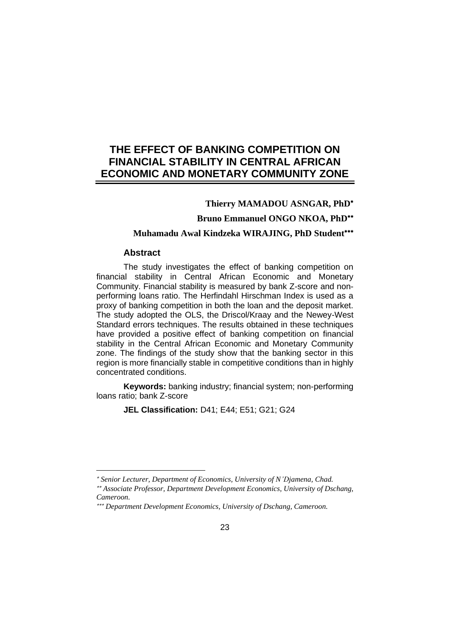# **THE EFFECT OF BANKING COMPETITION ON FINANCIAL STABILITY IN CENTRAL AFRICAN ECONOMIC AND MONETARY COMMUNITY ZONE**

## **Thierry MAMADOU ASNGAR, PhD**

**Bruno Emmanuel ONGO NKOA, PhD**

## **Muhamadu Awal Kindzeka WIRAJING, PhD Student**

## **Abstract**

The study investigates the effect of banking competition on financial stability in Central African Economic and Monetary Community. Financial stability is measured by bank Z-score and nonperforming loans ratio. The Herfindahl Hirschman Index is used as a proxy of banking competition in both the loan and the deposit market. The study adopted the OLS, the Driscol/Kraay and the Newey-West Standard errors techniques. The results obtained in these techniques have provided a positive effect of banking competition on financial stability in the Central African Economic and Monetary Community zone. The findings of the study show that the banking sector in this region is more financially stable in competitive conditions than in highly concentrated conditions.

**Keywords:** banking industry; financial system; non-performing loans ratio; bank Z-score

**JEL Classification:** D41; E44; E51; G21; G24

*Senior Lecturer, Department of Economics, University of N'Djamena, Chad.*

*Associate Professor, Department Development Economics, University of Dschang, Cameroon.*

*Department Development Economics, University of Dschang, Cameroon.*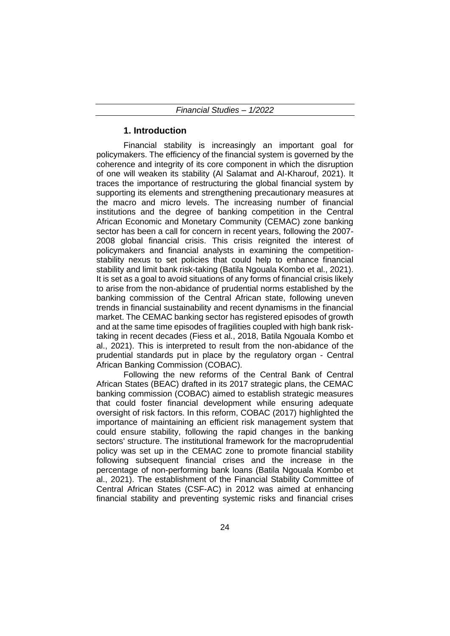## **1. Introduction**

Financial stability is increasingly an important goal for policymakers. The efficiency of the financial system is governed by the coherence and integrity of its core component in which the disruption of one will weaken its stability (Al Salamat and Al-Kharouf, 2021). It traces the importance of restructuring the global financial system by supporting its elements and strengthening precautionary measures at the macro and micro levels. The increasing number of financial institutions and the degree of banking competition in the Central African Economic and Monetary Community (CEMAC) zone banking sector has been a call for concern in recent years, following the 2007- 2008 global financial crisis. This crisis reignited the interest of policymakers and financial analysts in examining the competitionstability nexus to set policies that could help to enhance financial stability and limit bank risk-taking (Batila Ngouala Kombo et al., 2021). It is set as a goal to avoid situations of any forms of financial crisis likely to arise from the non-abidance of prudential norms established by the banking commission of the Central African state, following uneven trends in financial sustainability and recent dynamisms in the financial market. The CEMAC banking sector has registered episodes of growth and at the same time episodes of fragilities coupled with high bank risktaking in recent decades (Fiess et al., 2018, Batila Ngouala Kombo et al., 2021). This is interpreted to result from the non-abidance of the prudential standards put in place by the regulatory organ - Central African Banking Commission (COBAC).

Following the new reforms of the Central Bank of Central African States (BEAC) drafted in its 2017 strategic plans, the CEMAC banking commission (COBAC) aimed to establish strategic measures that could foster financial development while ensuring adequate oversight of risk factors. In this reform, COBAC (2017) highlighted the importance of maintaining an efficient risk management system that could ensure stability, following the rapid changes in the banking sectors' structure. The institutional framework for the macroprudential policy was set up in the CEMAC zone to promote financial stability following subsequent financial crises and the increase in the percentage of non-performing bank loans (Batila Ngouala Kombo et al., 2021). The establishment of the Financial Stability Committee of Central African States (CSF-AC) in 2012 was aimed at enhancing financial stability and preventing systemic risks and financial crises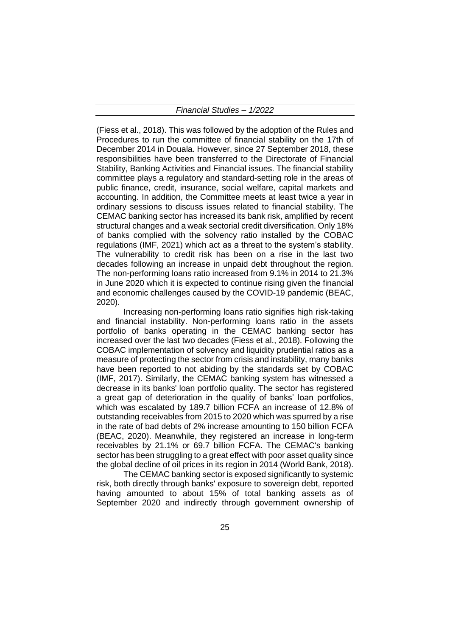(Fiess et al., 2018). This was followed by the adoption of the Rules and Procedures to run the committee of financial stability on the 17th of December 2014 in Douala. However, since 27 September 2018, these responsibilities have been transferred to the Directorate of Financial Stability, Banking Activities and Financial issues. The financial stability committee plays a regulatory and standard-setting role in the areas of public finance, credit, insurance, social welfare, capital markets and accounting. In addition, the Committee meets at least twice a year in ordinary sessions to discuss issues related to financial stability. The CEMAC banking sector has increased its bank risk, amplified by recent structural changes and a weak sectorial credit diversification. Only 18% of banks complied with the solvency ratio installed by the COBAC regulations (IMF, 2021) which act as a threat to the system's stability. The vulnerability to credit risk has been on a rise in the last two decades following an increase in unpaid debt throughout the region. The non-performing loans ratio increased from 9.1% in 2014 to 21.3% in June 2020 which it is expected to continue rising given the financial and economic challenges caused by the COVID-19 pandemic (BEAC, 2020).

Increasing non-performing loans ratio signifies high risk-taking and financial instability. Non-performing loans ratio in the assets portfolio of banks operating in the CEMAC banking sector has increased over the last two decades (Fiess et al., 2018). Following the COBAC implementation of solvency and liquidity prudential ratios as a measure of protecting the sector from crisis and instability, many banks have been reported to not abiding by the standards set by COBAC (IMF, 2017). Similarly, the CEMAC banking system has witnessed a decrease in its banks' loan portfolio quality. The sector has registered a great gap of deterioration in the quality of banks' loan portfolios, which was escalated by 189.7 billion FCFA an increase of 12.8% of outstanding receivables from 2015 to 2020 which was spurred by a rise in the rate of bad debts of 2% increase amounting to 150 billion FCFA (BEAC, 2020). Meanwhile, they registered an increase in long-term receivables by 21.1% or 69.7 billion FCFA. The CEMAC's banking sector has been struggling to a great effect with poor asset quality since the global decline of oil prices in its region in 2014 (World Bank, 2018).

The CEMAC banking sector is exposed significantly to systemic risk, both directly through banks' exposure to sovereign debt, reported having amounted to about 15% of total banking assets as of September 2020 and indirectly through government ownership of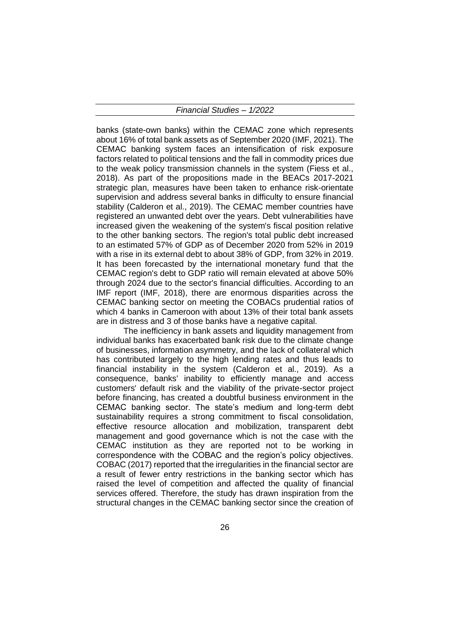banks (state-own banks) within the CEMAC zone which represents about 16% of total bank assets as of September 2020 (IMF, 2021). The CEMAC banking system faces an intensification of risk exposure factors related to political tensions and the fall in commodity prices due to the weak policy transmission channels in the system (Fiess et al., 2018). As part of the propositions made in the BEACs 2017-2021 strategic plan, measures have been taken to enhance risk-orientate supervision and address several banks in difficulty to ensure financial stability (Calderon et al., 2019). The CEMAC member countries have registered an unwanted debt over the years. Debt vulnerabilities have increased given the weakening of the system's fiscal position relative to the other banking sectors. The region's total public debt increased to an estimated 57% of GDP as of December 2020 from 52% in 2019 with a rise in its external debt to about 38% of GDP, from 32% in 2019. It has been forecasted by the international monetary fund that the CEMAC region's debt to GDP ratio will remain elevated at above 50% through 2024 due to the sector's financial difficulties. According to an IMF report (IMF, 2018), there are enormous disparities across the CEMAC banking sector on meeting the COBACs prudential ratios of which 4 banks in Cameroon with about 13% of their total bank assets are in distress and 3 of those banks have a negative capital.

The inefficiency in bank assets and liquidity management from individual banks has exacerbated bank risk due to the climate change of businesses, information asymmetry, and the lack of collateral which has contributed largely to the high lending rates and thus leads to financial instability in the system (Calderon et al., 2019). As a consequence, banks' inability to efficiently manage and access customers' default risk and the viability of the private-sector project before financing, has created a doubtful business environment in the CEMAC banking sector. The state's medium and long-term debt sustainability requires a strong commitment to fiscal consolidation, effective resource allocation and mobilization, transparent debt management and good governance which is not the case with the CEMAC institution as they are reported not to be working in correspondence with the COBAC and the region's policy objectives. COBAC (2017) reported that the irregularities in the financial sector are a result of fewer entry restrictions in the banking sector which has raised the level of competition and affected the quality of financial services offered. Therefore, the study has drawn inspiration from the structural changes in the CEMAC banking sector since the creation of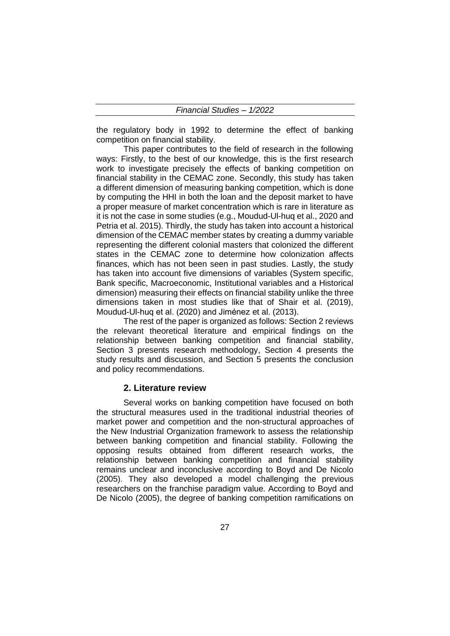the regulatory body in 1992 to determine the effect of banking competition on financial stability.

This paper contributes to the field of research in the following ways: Firstly, to the best of our knowledge, this is the first research work to investigate precisely the effects of banking competition on financial stability in the CEMAC zone. Secondly, this study has taken a different dimension of measuring banking competition, which is done by computing the HHI in both the loan and the deposit market to have a proper measure of market concentration which is rare in literature as it is not the case in some studies (e.g., Moudud-Ul-huq et al., 2020 and Petria et al. 2015). Thirdly, the study has taken into account a historical dimension of the CEMAC member states by creating a dummy variable representing the different colonial masters that colonized the different states in the CEMAC zone to determine how colonization affects finances, which has not been seen in past studies. Lastly, the study has taken into account five dimensions of variables (System specific, Bank specific, Macroeconomic, Institutional variables and a Historical dimension) measuring their effects on financial stability unlike the three dimensions taken in most studies like that of Shair et al. (2019), Moudud-Ul-huq et al. (2020) and Jiménez et al. (2013).

The rest of the paper is organized as follows: Section 2 reviews the relevant theoretical literature and empirical findings on the relationship between banking competition and financial stability, Section 3 presents research methodology, Section 4 presents the study results and discussion, and Section 5 presents the conclusion and policy recommendations.

#### **2. Literature review**

Several works on banking competition have focused on both the structural measures used in the traditional industrial theories of market power and competition and the non-structural approaches of the New Industrial Organization framework to assess the relationship between banking competition and financial stability. Following the opposing results obtained from different research works, the relationship between banking competition and financial stability remains unclear and inconclusive according to Boyd and De Nicolo (2005). They also developed a model challenging the previous researchers on the franchise paradigm value. According to Boyd and De Nicolo (2005), the degree of banking competition ramifications on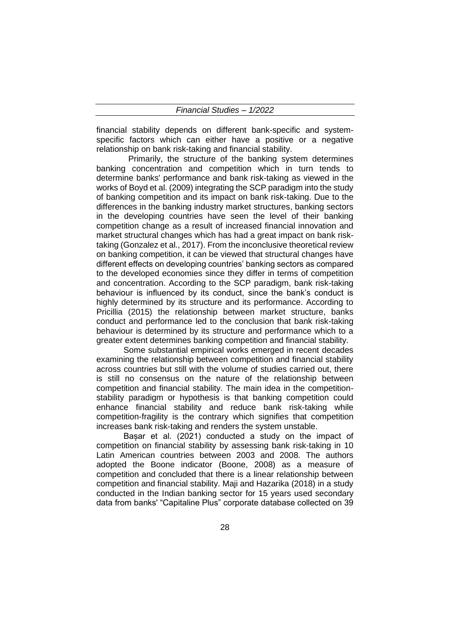financial stability depends on different bank-specific and systemspecific factors which can either have a positive or a negative relationship on bank risk-taking and financial stability.

 Primarily, the structure of the banking system determines banking concentration and competition which in turn tends to determine banks' performance and bank risk-taking as viewed in the works of Boyd et al. (2009) integrating the SCP paradigm into the study of banking competition and its impact on bank risk-taking. Due to the differences in the banking industry market structures, banking sectors in the developing countries have seen the level of their banking competition change as a result of increased financial innovation and market structural changes which has had a great impact on bank risktaking (Gonzalez et al., 2017). From the inconclusive theoretical review on banking competition, it can be viewed that structural changes have different effects on developing countries' banking sectors as compared to the developed economies since they differ in terms of competition and concentration. According to the SCP paradigm, bank risk-taking behaviour is influenced by its conduct, since the bank's conduct is highly determined by its structure and its performance. According to Pricillia (2015) the relationship between market structure, banks conduct and performance led to the conclusion that bank risk-taking behaviour is determined by its structure and performance which to a greater extent determines banking competition and financial stability.

Some substantial empirical works emerged in recent decades examining the relationship between competition and financial stability across countries but still with the volume of studies carried out, there is still no consensus on the nature of the relationship between competition and financial stability. The main idea in the competitionstability paradigm or hypothesis is that banking competition could enhance financial stability and reduce bank risk-taking while competition-fragility is the contrary which signifies that competition increases bank risk-taking and renders the system unstable.

Bașar et al. (2021) conducted a study on the impact of competition on financial stability by assessing bank risk-taking in 10 Latin American countries between 2003 and 2008. The authors adopted the Boone indicator (Boone, 2008) as a measure of competition and concluded that there is a linear relationship between competition and financial stability. Maji and Hazarika (2018) in a study conducted in the Indian banking sector for 15 years used secondary data from banks' "Capitaline Plus" corporate database collected on 39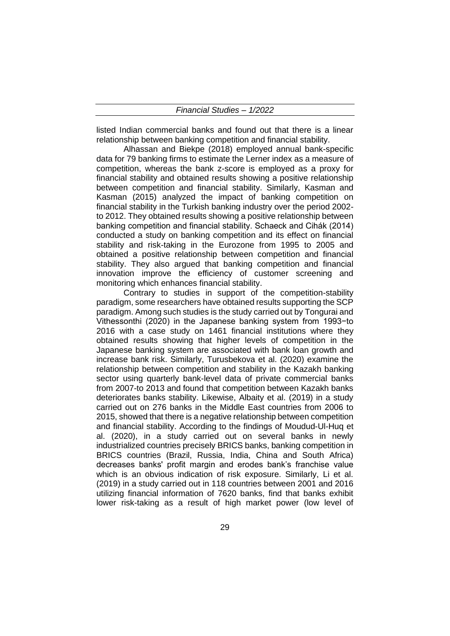listed Indian commercial banks and found out that there is a linear relationship between banking competition and financial stability.

Alhassan and Biekpe (2018) employed annual bank-specific data for 79 banking firms to estimate the Lerner index as a measure of competition, whereas the bank z-score is employed as a proxy for financial stability and obtained results showing a positive relationship between competition and financial stability. Similarly, Kasman and Kasman (2015) analyzed the impact of banking competition on financial stability in the Turkish banking industry over the period 2002 to 2012. They obtained results showing a positive relationship between banking competition and financial stability. Schaeck and Cihák (2014) conducted a study on banking competition and its effect on financial stability and risk-taking in the Eurozone from 1995 to 2005 and obtained a positive relationship between competition and financial stability. They also argued that banking competition and financial innovation improve the efficiency of customer screening and monitoring which enhances financial stability.

Contrary to studies in support of the competition-stability paradigm, some researchers have obtained results supporting the SCP paradigm. Among such studies is the study carried out by Tongurai and Vithessonthi (2020) in the Japanese banking system from 1993−to 2016 with a case study on 1461 financial institutions where they obtained results showing that higher levels of competition in the Japanese banking system are associated with bank loan growth and increase bank risk. Similarly, Turusbekova et al. (2020) examine the relationship between competition and stability in the Kazakh banking sector using quarterly bank-level data of private commercial banks from 2007-to 2013 and found that competition between Kazakh banks deteriorates banks stability. Likewise, Albaity et al. (2019) in a study carried out on 276 banks in the Middle East countries from 2006 to 2015, showed that there is a negative relationship between competition and financial stability. According to the findings of Moudud-Ul-Huq et al. (2020), in a study carried out on several banks in newly industrialized countries precisely BRICS banks, banking competition in BRICS countries (Brazil, Russia, India, China and South Africa) decreases banks' profit margin and erodes bank's franchise value which is an obvious indication of risk exposure. Similarly, Li et al. (2019) in a study carried out in 118 countries between 2001 and 2016 utilizing financial information of 7620 banks, find that banks exhibit lower risk-taking as a result of high market power (low level of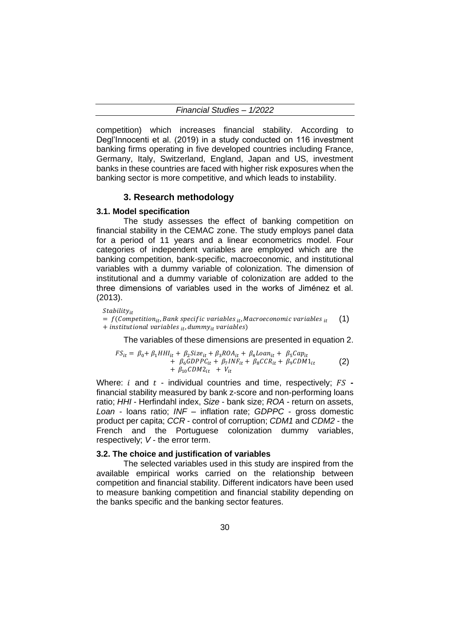competition) which increases financial stability. According to Degl'Innocenti et al. (2019) in a study conducted on 116 investment banking firms operating in five developed countries including France, Germany, Italy, Switzerland, England, Japan and US, investment banks in these countries are faced with higher risk exposures when the banking sector is more competitive, and which leads to instability.

## **3. Research methodology**

#### **3.1. Model specification**

The study assesses the effect of banking competition on financial stability in the CEMAC zone. The study employs panel data for a period of 11 years and a linear econometrics model. Four categories of independent variables are employed which are the banking competition, bank-specific, macroeconomic, and institutional variables with a dummy variable of colonization. The dimension of institutional and a dummy variable of colonization are added to the three dimensions of variables used in the works of Jiménez et al. (2013).

 $Stability_{it}$ 

 $= f(Competition_{it}, Bank specific variables_{it}, Macroe economic variables_{it})$  $+$  institutional variables  $_{it}$ , dummy $_{it}$  variables) (1)

The variables of these dimensions are presented in equation 2.

$$
FS_{it} = \beta_0 + \beta_1 H H I_{it} + \beta_2 Size_{it} + \beta_3 ROA_{it} + \beta_4 Loan_{it} + \beta_5 Cap_{it}
$$
  
+  $\beta_6 GDPPC_{it} + \beta_7 INF_{it} + \beta_8 CCR_{it} + \beta_9 CDM1_{it}$   
+  $\beta_{10} CDM2_{it} + V_{it}$  (2)

Where:  $i$  and  $t$  - individual countries and time, respectively;  $FS$  financial stability measured by bank z-score and non-performing loans ratio; *HHI* - Herfindahl index, *Size* - bank size; *ROA* - return on assets, *Loan* - loans ratio; *INF* – inflation rate; *GDPPC* - gross domestic product per capita; *CCR* - control of corruption; *CDM1* and *CDM2* - the French and the Portuguese colonization dummy variables, respectively; *V* - the error term.

## **3.2. The choice and justification of variables**

The selected variables used in this study are inspired from the available empirical works carried on the relationship between competition and financial stability. Different indicators have been used to measure banking competition and financial stability depending on the banks specific and the banking sector features.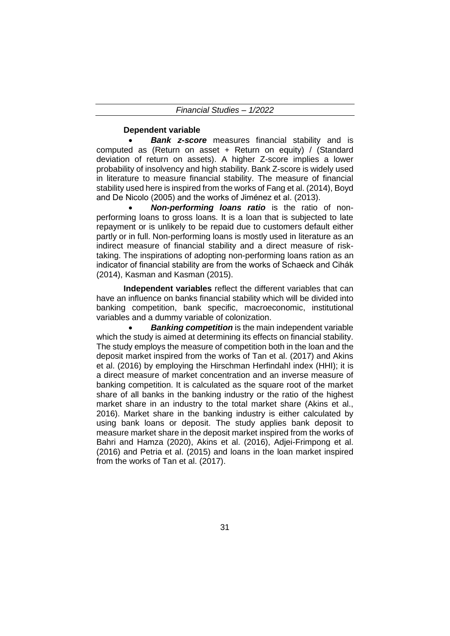## **Dependent variable**

• *Bank z-score* measures financial stability and is computed as (Return on asset + Return on equity) / (Standard deviation of return on assets). A higher Z-score implies a lower probability of insolvency and high stability. Bank Z-score is widely used in literature to measure financial stability. The measure of financial stability used here is inspired from the works of Fang et al. (2014), Boyd and De Nicolo (2005) and the works of Jiménez et al. (2013).

• *Non-performing loans ratio* is the ratio of nonperforming loans to gross loans. It is a loan that is subjected to late repayment or is unlikely to be repaid due to customers default either partly or in full. Non-performing loans is mostly used in literature as an indirect measure of financial stability and a direct measure of risktaking. The inspirations of adopting non-performing loans ration as an indicator of financial stability are from the works of Schaeck and Cihák (2014), Kasman and Kasman (2015).

**Independent variables** reflect the different variables that can have an influence on banks financial stability which will be divided into banking competition, bank specific, macroeconomic, institutional variables and a dummy variable of colonization.

**Banking competition** is the main independent variable which the study is aimed at determining its effects on financial stability. The study employs the measure of competition both in the loan and the deposit market inspired from the works of Tan et al. (2017) and Akins et al. (2016) by employing the Hirschman Herfindahl index (HHI); it is a direct measure of market concentration and an inverse measure of banking competition. It is calculated as the square root of the market share of all banks in the banking industry or the ratio of the highest market share in an industry to the total market share (Akins et al., 2016). Market share in the banking industry is either calculated by using bank loans or deposit. The study applies bank deposit to measure market share in the deposit market inspired from the works of Bahri and Hamza (2020), Akins et al. (2016), Adjei-Frimpong et al. (2016) and Petria et al. (2015) and loans in the loan market inspired from the works of Tan et al. (2017).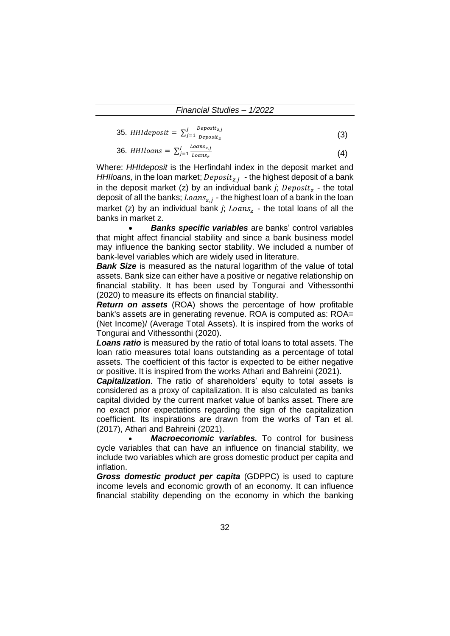35. *HH1deposit* = 
$$
\sum_{j=1}^{J} \frac{Deposit_{z,j}}{Deposit_z}
$$
 (3)

$$
36. \; HHIloans = \sum_{j=1}^{J} \frac{Loans_{z,j}}{Loans_z} \tag{4}
$$

Where: *HHIdeposit* is the Herfindahl index in the deposit market and HHIloans, in the loan market;  $Deposit_{z,j}$  - the highest deposit of a bank in the deposit market (z) by an individual bank  $j$ ;  $Deposit_z$  - the total deposit of all the banks;  $\mathit{Loans}_{z,j}$  - the highest loan of a bank in the loan market (z) by an individual bank  $j$ ;  $Loans_z$  - the total loans of all the banks in market z.

• *Banks specific variables* are banks' control variables that might affect financial stability and since a bank business model may influence the banking sector stability. We included a number of bank-level variables which are widely used in literature.

**Bank Size** is measured as the natural logarithm of the value of total assets. Bank size can either have a positive or negative relationship on financial stability. It has been used by Tongurai and Vithessonthi (2020) to measure its effects on financial stability.

*Return on assets* (ROA) shows the percentage of how profitable bank's assets are in generating revenue. ROA is computed as: ROA= (Net Income)/ (Average Total Assets). It is inspired from the works of Tongurai and Vithessonthi (2020).

*Loans ratio* is measured by the ratio of total loans to total assets. The loan ratio measures total loans outstanding as a percentage of total assets. The coefficient of this factor is expected to be either negative or positive. It is inspired from the works Athari and Bahreini (2021).

*Capitalization*. The ratio of shareholders' equity to total assets is considered as a proxy of capitalization. It is also calculated as banks capital divided by the current market value of banks asset. There are no exact prior expectations regarding the sign of the capitalization coefficient. Its inspirations are drawn from the works of Tan et al. (2017), Athari and Bahreini (2021).

Macroeconomic variables. To control for business cycle variables that can have an influence on financial stability, we include two variables which are gross domestic product per capita and inflation.

*Gross domestic product per capita* (GDPPC) is used to capture income levels and economic growth of an economy. It can influence financial stability depending on the economy in which the banking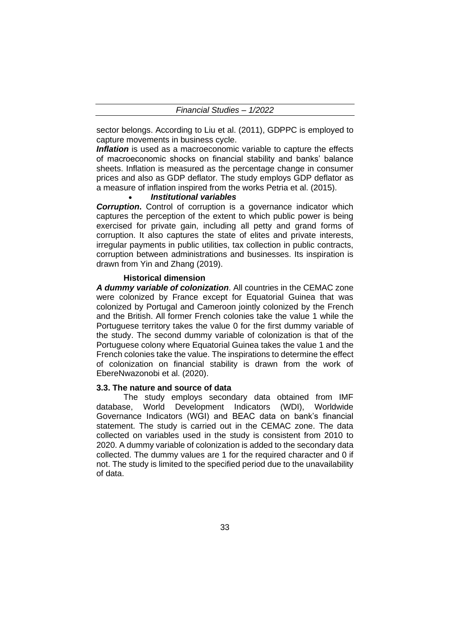sector belongs. According to Liu et al. (2011), GDPPC is employed to capture movements in business cycle.

**Inflation** is used as a macroeconomic variable to capture the effects of macroeconomic shocks on financial stability and banks' balance sheets. Inflation is measured as the percentage change in consumer prices and also as GDP deflator. The study employs GDP deflator as a measure of inflation inspired from the works Petria et al. (2015).

#### • *Institutional variables*

**Corruption.** Control of corruption is a governance indicator which captures the perception of the extent to which public power is being exercised for private gain, including all petty and grand forms of corruption. It also captures the state of elites and private interests, irregular payments in public utilities, tax collection in public contracts, corruption between administrations and businesses. Its inspiration is drawn from Yin and Zhang (2019).

#### **Historical dimension**

*A dummy variable of colonization*. All countries in the CEMAC zone were colonized by France except for Equatorial Guinea that was colonized by Portugal and Cameroon jointly colonized by the French and the British. All former French colonies take the value 1 while the Portuguese territory takes the value 0 for the first dummy variable of the study. The second dummy variable of colonization is that of the Portuguese colony where Equatorial Guinea takes the value 1 and the French colonies take the value. The inspirations to determine the effect of colonization on financial stability is drawn from the work of EbereNwazonobi et al. (2020).

#### **3.3. The nature and source of data**

The study employs secondary data obtained from IMF database, World Development Indicators (WDI), Worldwide Governance Indicators (WGI) and BEAC data on bank's financial statement. The study is carried out in the CEMAC zone. The data collected on variables used in the study is consistent from 2010 to 2020. A dummy variable of colonization is added to the secondary data collected. The dummy values are 1 for the required character and 0 if not. The study is limited to the specified period due to the unavailability of data.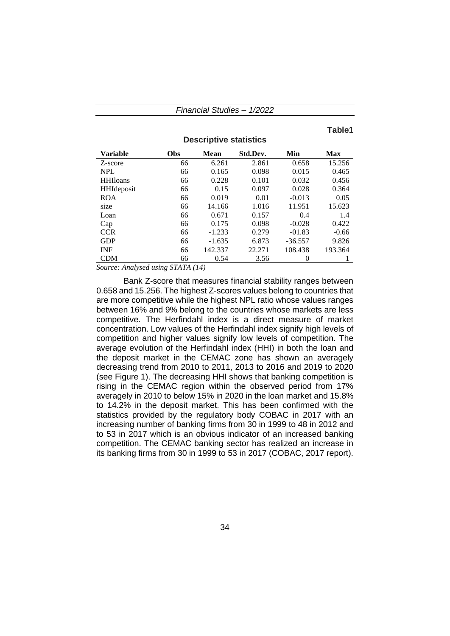#### **Table1**

| <b>Variable</b> | <b>Obs</b> | <b>Mean</b> | Std.Dev. | Min       | <b>Max</b> |
|-----------------|------------|-------------|----------|-----------|------------|
| Z-score         | 66         | 6.261       | 2.861    | 0.658     | 15.256     |
| <b>NPL</b>      | 66         | 0.165       | 0.098    | 0.015     | 0.465      |
| <b>HHIloans</b> | 66         | 0.228       | 0.101    | 0.032     | 0.456      |
| HHIdeposit      | 66         | 0.15        | 0.097    | 0.028     | 0.364      |
| <b>ROA</b>      | 66         | 0.019       | 0.01     | $-0.013$  | 0.05       |
| size            | 66         | 14.166      | 1.016    | 11.951    | 15.623     |
| Loan            | 66         | 0.671       | 0.157    | 0.4       | 1.4        |
| Cap             | 66         | 0.175       | 0.098    | $-0.028$  | 0.422      |
| <b>CCR</b>      | 66         | $-1.233$    | 0.279    | $-01.83$  | $-0.66$    |
| <b>GDP</b>      | 66         | $-1.635$    | 6.873    | $-36.557$ | 9.826      |
| <b>INF</b>      | 66         | 142.337     | 22.271   | 108.438   | 193.364    |
| <b>CDM</b>      | 66         | 0.54        | 3.56     | 0         |            |

**Descriptive statistics**

*Source: Analysed using STATA (14)*

Bank Z-score that measures financial stability ranges between 0.658 and 15.256. The highest Z-scores values belong to countries that are more competitive while the highest NPL ratio whose values ranges between 16% and 9% belong to the countries whose markets are less competitive. The Herfindahl index is a direct measure of market concentration. Low values of the Herfindahl index signify high levels of competition and higher values signify low levels of competition. The average evolution of the Herfindahl index (HHI) in both the loan and the deposit market in the CEMAC zone has shown an averagely decreasing trend from 2010 to 2011, 2013 to 2016 and 2019 to 2020 (see Figure 1). The decreasing HHI shows that banking competition is rising in the CEMAC region within the observed period from 17% averagely in 2010 to below 15% in 2020 in the loan market and 15.8% to 14.2% in the deposit market. This has been confirmed with the statistics provided by the regulatory body COBAC in 2017 with an increasing number of banking firms from 30 in 1999 to 48 in 2012 and to 53 in 2017 which is an obvious indicator of an increased banking competition. The CEMAC banking sector has realized an increase in its banking firms from 30 in 1999 to 53 in 2017 (COBAC, 2017 report).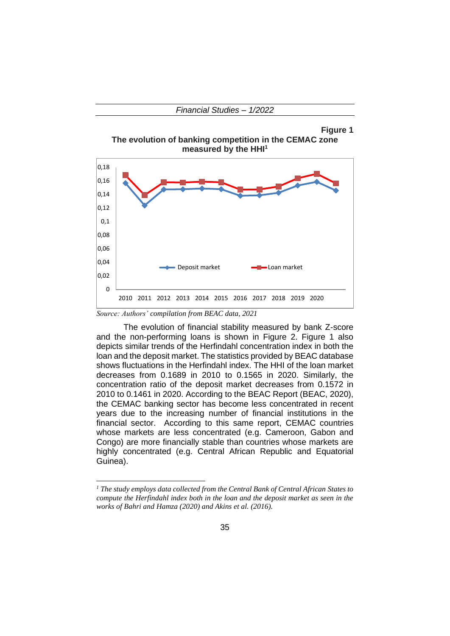**Figure 1 The evolution of banking competition in the CEMAC zone measured by the HHI<sup>1</sup>**



*Source: Authors' compilation from BEAC data, 2021*

The evolution of financial stability measured by bank Z-score and the non-performing loans is shown in Figure 2. Figure 1 also depicts similar trends of the Herfindahl concentration index in both the loan and the deposit market. The statistics provided by BEAC database shows fluctuations in the Herfindahl index. The HHI of the loan market decreases from 0.1689 in 2010 to 0.1565 in 2020. Similarly, the concentration ratio of the deposit market decreases from 0.1572 in 2010 to 0.1461 in 2020. According to the BEAC Report (BEAC, 2020), the CEMAC banking sector has become less concentrated in recent years due to the increasing number of financial institutions in the financial sector. According to this same report, CEMAC countries whose markets are less concentrated (e.g. Cameroon, Gabon and Congo) are more financially stable than countries whose markets are highly concentrated (e.g. Central African Republic and Equatorial Guinea).

*<sup>1</sup> The study employs data collected from the Central Bank of Central African States to compute the Herfindahl index both in the loan and the deposit market as seen in the works of Bahri and Hamza (2020) and Akins et al. (2016).*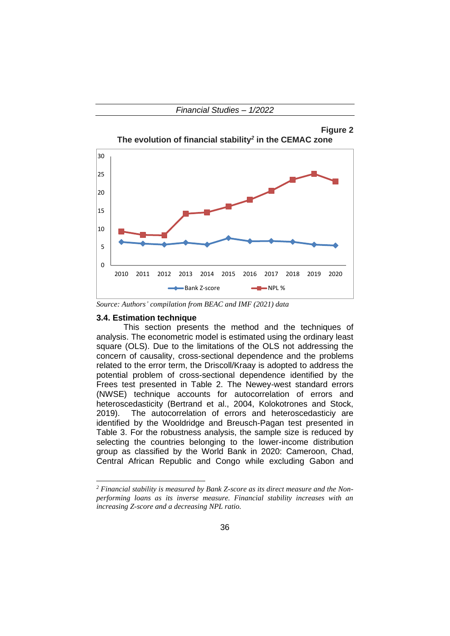



*Source: Authors' compilation from BEAC and IMF (2021) data*

## **3.4. Estimation technique**

This section presents the method and the techniques of analysis. The econometric model is estimated using the ordinary least square (OLS). Due to the limitations of the OLS not addressing the concern of causality, cross-sectional dependence and the problems related to the error term, the Driscoll/Kraay is adopted to address the potential problem of cross-sectional dependence identified by the Frees test presented in Table 2. The Newey-west standard errors (NWSE) technique accounts for autocorrelation of errors and heteroscedasticity (Bertrand et al., 2004, Kolokotrones and Stock, 2019). The autocorrelation of errors and heteroscedasticiy are identified by the Wooldridge and Breusch-Pagan test presented in Table 3. For the robustness analysis, the sample size is reduced by selecting the countries belonging to the lower-income distribution group as classified by the World Bank in 2020: Cameroon, Chad, Central African Republic and Congo while excluding Gabon and

*<sup>2</sup> Financial stability is measured by Bank Z-score as its direct measure and the Nonperforming loans as its inverse measure. Financial stability increases with an increasing Z-score and a decreasing NPL ratio.*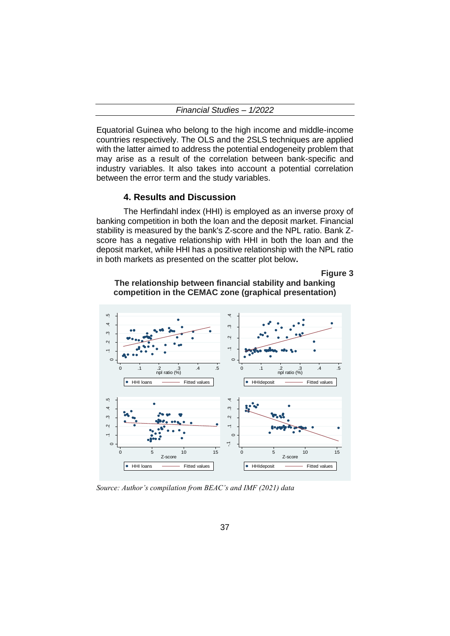|  | <b>Financial Studies -</b> | 1/2022 |
|--|----------------------------|--------|
|--|----------------------------|--------|

Equatorial Guinea who belong to the high income and middle-income countries respectively. The OLS and the 2SLS techniques are applied with the latter aimed to address the potential endogeneity problem that may arise as a result of the correlation between bank-specific and industry variables. It also takes into account a potential correlation between the error term and the study variables.

#### **4. Results and Discussion**

The Herfindahl index (HHI) is employed as an inverse proxy of banking competition in both the loan and the deposit market. Financial stability is measured by the bank's Z-score and the NPL ratio. Bank Zscore has a negative relationship with HHI in both the loan and the deposit market, while HHI has a positive relationship with the NPL ratio in both markets as presented on the scatter plot below**.**

**Figure 3**



**The relationship between financial stability and banking competition in the CEMAC zone (graphical presentation)**

*Source: Author's compilation from BEAC's and IMF (2021) data*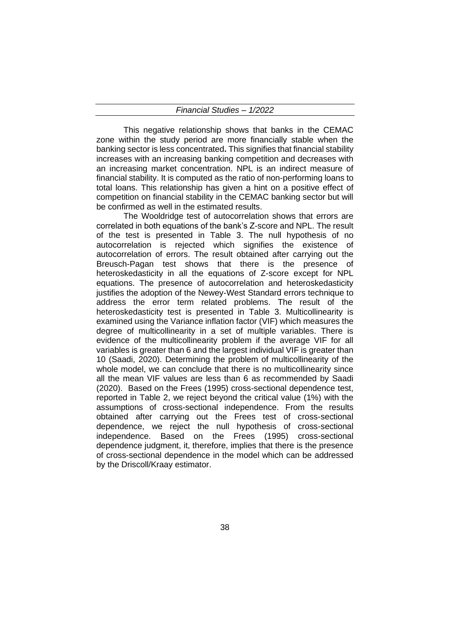This negative relationship shows that banks in the CEMAC zone within the study period are more financially stable when the banking sector is less concentrated**.** This signifies that financial stability increases with an increasing banking competition and decreases with an increasing market concentration. NPL is an indirect measure of financial stability. It is computed as the ratio of non-performing loans to total loans. This relationship has given a hint on a positive effect of competition on financial stability in the CEMAC banking sector but will be confirmed as well in the estimated results.

The Wooldridge test of autocorrelation shows that errors are correlated in both equations of the bank's Z-score and NPL. The result of the test is presented in Table 3. The null hypothesis of no autocorrelation is rejected which signifies the existence of autocorrelation of errors. The result obtained after carrying out the Breusch-Pagan test shows that there is the presence of heteroskedasticity in all the equations of Z-score except for NPL equations. The presence of autocorrelation and heteroskedasticity justifies the adoption of the Newey-West Standard errors technique to address the error term related problems. The result of the heteroskedasticity test is presented in Table 3. Multicollinearity is examined using the Variance inflation factor (VIF) which measures the degree of multicollinearity in a set of multiple variables. There is evidence of the multicollinearity problem if the average VIF for all variables is greater than 6 and the largest individual VIF is greater than 10 (Saadi, 2020). Determining the problem of multicollinearity of the whole model, we can conclude that there is no multicollinearity since all the mean VIF values are less than 6 as recommended by Saadi (2020). Based on the Frees (1995) cross-sectional dependence test, reported in Table 2, we reject beyond the critical value (1%) with the assumptions of cross-sectional independence. From the results obtained after carrying out the Frees test of cross-sectional dependence, we reject the null hypothesis of cross-sectional independence. Based on the Frees (1995) cross-sectional dependence judgment, it, therefore, implies that there is the presence of cross-sectional dependence in the model which can be addressed by the Driscoll/Kraay estimator.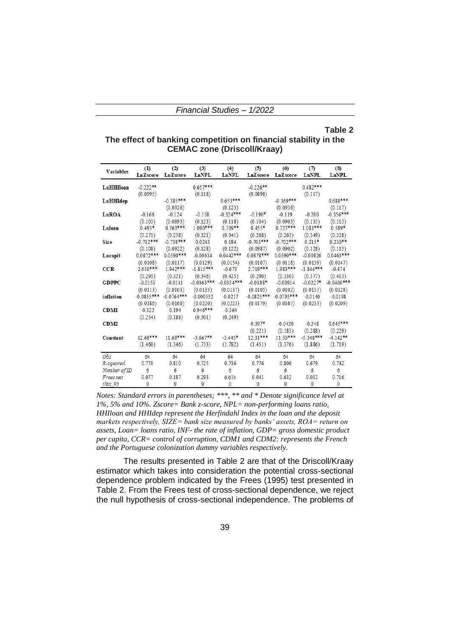## **Table 2**

## **The effect of banking competition on financial stability in the CEMAC zone (Driscoll/Kraay)**

| <b>Variables</b>    | (1)<br><b>LnZscore</b> | (2)<br><b>LnZscore</b> | (3)<br>LnNPL | (4)<br>LnNPL | (5)<br><b>LnZ</b> score | (6)<br><b>LnZ</b> score | (7)<br>LnNPL | (8)<br>LnNPL |
|---------------------|------------------------|------------------------|--------------|--------------|-------------------------|-------------------------|--------------|--------------|
| LnHHIloan           | $-0.222**$             |                        | $0.657***$   |              | $-0.226**$              |                         | $0.482***$   |              |
|                     | (0.0995)               |                        | (0.118)      |              | (0.0898)                |                         | (0.117)      |              |
| LnHHIdep            |                        | $-0.385***$            |              | $0.653***$   |                         | $-0.369***$             |              | $0.688***$   |
|                     |                        | (0.0926)               |              | (0.123)      |                         | (0.0936)                |              | (0.117)      |
| LnROA               | $-0.166$               | $-0.124$               | $-0.158$     | $-0.324***$  | $-0.190*$               | $-0.119$                | $-0.200$     | $-0.356***$  |
|                     | (0.103)                | (0.0893)               | (0.123)      | (0.118)      | (0.104)                 | (0.0903)                | (0.135)      | (0.113)      |
| Luloan              | $0.493*$               | $0.763***$             | 1.090***     | $0.709**$    | $0.455*$                | $0.727***$              | $1.081***$   | $0.589*$     |
|                     | (0.271)                | (0.258)                | (0.321)      | (0.341)      | (0.268)                 | (0.263)                 | (0.349)      | (0.328)      |
| Size                | $-0.712***$            | $-0.738***$            | 0.0243       | 0.184        | $-0.703***$             | $-0.702***$             | $0.215*$     | $0.230**$    |
|                     | (0.108)                | (0.0922)               | (0.128)      | (0.122)      | (0.0987)                | (0.0902)                | (0.128)      | (0.113)      |
| Lncapit             | $0.0872***$            | $0.0590***$            | $-0.00634$   | $0.0442***$  | $0.0878***$             | $0.0590***$             | $-0.00826$   | $0.0463***$  |
|                     | (0.0108)               | (0.0117)               | (0.0129)     | (0.0154)     | (0.0107)                | (0.0118)                | (0.0139)     | (0.0147)     |
| <b>CCR</b>          | $2.650***$             | $1.942***$             | $-1.815***$  | $-0.673$     | $2.719***$              | 1.983***                | $-1.844***$  | $-0.474$     |
|                     | (0.291)                | (0.321)                | (0.346)      | (0.425)      | (0.290)                 | (0.330)                 | (0.377)      | (0.413)      |
| <b>GDPPC</b>        | $-0.0153$              | $-0.0111$              | $-0.0363***$ | $-0.0354***$ | $-0.0188*$              | $-0.00914$              | $-0.0227*$   | $-0.0400***$ |
|                     | (0.0113)               | (0.0103)               | (0.0135)     | (0.0137)     | (0.0105)                | (0.0102)                | (0.0137)     | (0.0128)     |
| inflation           | $-0.0855***$           | $-0.0764***$           | $-0.000552$  | $-0.0217$    | $-0.0825***$            | $-0.0795***$            | $-0.0140$    | $-0.0198$    |
|                     | (0.0186)               | (0.0168)               | (0.0220)     | (0.0223)     | (0.0179)                | (0.0167)                | (0.0233)     | (0.0209)     |
| <b>CDMI</b>         | $-0.322$               | 0.194                  | $0.946***$   | $-0.364$     |                         |                         |              |              |
|                     | (0.254)                | (0.188)                | (0.301)      | (0.249)      |                         |                         |              |              |
| CDM2                |                        |                        |              |              | $0.397*$                | $-0.0420$               | $-0.248$     | $0.645***$   |
|                     |                        |                        |              |              | (0.221)                 | (0.183)                 | (0.288)      | (0.229)      |
| Constant            | $12.68***$             | $11.68***$             | $-3.667**$   | $-3.445*$    | $12.31***$              | $11.50***$              | $-5.348***$  | $-4.142**$   |
|                     | (1.460)                | (1.346)                | (1.733)      | (1.782)      | (1.451)                 | (1.376)                 | (1.886)      | (1.719)      |
| Obs                 | 64                     | 64                     | 64           | 64           | 64                      | 64                      | 64           | 64           |
| R-squared           | 0.770                  | 0.810                  | 0.725        | 0.716        | 0.776                   | 0.806                   | 0.679        | 0.742        |
| Number of ID        | 6                      | 6                      | 6            | 6            | 6                       | 6                       | 6            | 6            |
| Frees test          | 0.077                  | 0.187                  | 0.293        | 0.074        | 0.041                   | 0.632                   | 0.032        | 0.716        |
| thata <sub>95</sub> | 0                      | $\theta$               | 0            | $\mathbf{0}$ | $\mathbf{0}$            | $\mathbf{0}$            | $\mathbf{0}$ | 0            |

*Notes: Standard errors in parentheses; \*\*\*, \*\* and \* Denote significance level at 1%, 5% and 10%. Zscore= Bank z-score, NPL= non-performing loans ratio, HHIloan and HHIdep represent the Herfindahl Index in the loan and the deposit markets respectively, SIZE= bank size measured by banks' assets, ROA= return on assets, Loan= loans ratio, INF- the rate of inflation, GDP= gross domestic product per capita, CCR= control of corruption, CDM1 and CDM2: represents the French and the Portuguese colonization dummy variables respectively.*

The results presented in Table 2 are that of the Driscoll/Kraay estimator which takes into consideration the potential cross-sectional dependence problem indicated by the Frees (1995) test presented in Table 2. From the Frees test of cross-sectional dependence, we reject the null hypothesis of cross-sectional independence. The problems of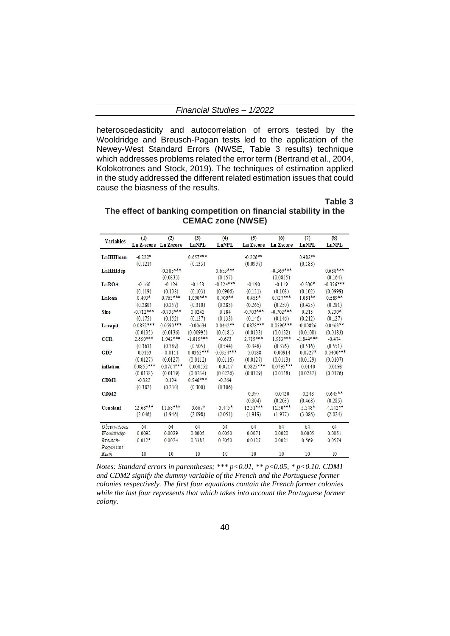| 1/2022<br><b>Financial Studies -</b> |
|--------------------------------------|
|--------------------------------------|

heteroscedasticity and autocorrelation of errors tested by the Wooldridge and Breusch-Pagan tests led to the application of the Newey-West Standard Errors (NWSE, Table 3 results) technique which addresses problems related the error term (Bertrand et al., 2004, Kolokotrones and Stock, 2019). The techniques of estimation applied in the study addressed the different related estimation issues that could cause the biasness of the results.

**Table 3**

| The effect of banking competition on financial stability in the |  |
|-----------------------------------------------------------------|--|
| <b>CEMAC zone (NWSE)</b>                                        |  |

| <b>Variables</b>           | (1)<br>Ln Z-score Ln Zscore | (2)                     | (3)<br>LnNPL          | (4)<br>LnNPL          | (5)<br><b>Ln Zscore</b> | (6)<br><b>Ln Zscore</b> | (7)<br>LnNPL         | (8)<br>LnNPL          |
|----------------------------|-----------------------------|-------------------------|-----------------------|-----------------------|-------------------------|-------------------------|----------------------|-----------------------|
| LnHHIloan                  | $-0.222*$<br>(0.121)        |                         | $0.657***$<br>(0.135) |                       | $-0.226**$<br>(0.0997)  |                         | $0.482**$<br>(0.188) |                       |
| $L$ n $HH$ Idep            |                             | $-0.385***$<br>(0.0833) |                       | $0.653***$<br>(0.157) |                         | $-0.369***$<br>(0.0815) |                      | $0.688***$<br>(0.164) |
| LnROA                      | $-0.166$                    | $-0.124$                | $-0.158$              | $-0.324***$           | $-0.190$                | $-0.119$                | $-0.200*$            | $-0.356***$           |
|                            | (0.119)                     | (0.108)                 | (0.103)               | (0.0906)              | (0.121)                 | (0.108)                 | (0.102)              | (0.0999)              |
| Luloan                     | $0.493*$                    | $0.763***$              | 1.090***              | $0.709**$             | $0.455*$                | $0.727***$              | $1.081**$            | $0.589**$             |
|                            | (0.280)                     | (0.257)                 | (0.310)               | (0.283)               | (0.265)                 | (0.250)                 | (0.425)              | (0.281)               |
| Size                       | $-0.712***$                 | $-0.738***$             | 0.0243                | 0.184                 | $-0.703***$             | $-0.702***$             | 0.215                | $0.230*$              |
|                            | (0.175)                     | (0.152)                 | (0.137)               | (0.133)               | (0.146)                 | (0.146)                 | (0.212)              | (0.127)               |
| Lncapit                    | $0.0872***$                 | $0.0590***$             | $-0.00634$            | $0.0442**$            | $0.0878***$             | $0.0590***$             | $-0.00826$           | $0.0463**$            |
|                            | (0.0135)                    | (0.0136)                | (0.00995)             | (0.0181)              | (0.0133)                | (0.0132)                | (0.0108)             | (0.0183)              |
| <b>CCR</b>                 | $2.650***$                  | 1.942***                | $-1.815***$           | $-0.673$              | 2.719***                | 1.983***                | $-1.844***$          | $-0.474$              |
|                            | (0.363)                     | (0.389)                 | (0.505)               | (0.544)               | (0.348)                 | (0.376)                 | (0.516)              | (0.551)               |
| <b>GDP</b>                 | $-0.0153$                   | $-0.0111$               | $-0.0363***$          | $-0.0354***$          | $-0.0188$               | $-0.00914$              | $-0.0227*$           | $-0.0400***$          |
|                            | (0.0127)                    | (0.0127)                | (0.0112)              | (0.0116)              | (0.0127)                | (0.0113)                | (0.0129)             | (0.0107)              |
| inflation                  | $-0.0855***$                | $-0.0764***$            | $-0.000552$           | $-0.0217$             | $-0.0825***$            | $-0.0795***$            | $-0.0140$            | $-0.0198$             |
|                            | (0.0138)                    | (0.0119)                | (0.0234)              | (0.0226)              | (0.0129)                | (0.0118)                | (0.0287)             | (0.0176)              |
| <b>CDM1</b>                | $-0.322$<br>(0.382)         | 0.194<br>(0.230)        | $0.946***$<br>(0.300) | $-0.364$<br>(0.306)   |                         |                         |                      |                       |
| CDM2                       |                             |                         |                       |                       | 0.397<br>(0.304)        | $-0.0420$<br>(0.203)    | $-0.248$<br>(0.468)  | $0.645**$<br>(0.285)  |
| Constant                   | 12.68***                    | 11.68***                | $-3.667*$             | $-3.445*$             | $12.31***$              | $11.50***$              | $-5.348*$            | $-4.142**$            |
|                            | (2.046)                     | (1.946)                 | (2.098)               | (2.051)               | (1.919)                 | (1.977)                 | (3.086)              | (2.024)               |
| <i><b>Observations</b></i> | 64                          | 64                      | 64                    | 64                    | 64                      | 64                      | 64                   | 64                    |
| Wooldridge                 | 0.0092                      | 0.0029                  | 0.0005                | 0.0050                | 0.0071                  | 0.0020                  | 0.0005               | 0.0051                |
| Breusch-                   | 0.0125                      | 0.0024                  | 0.3383                | 0.2050                | 0.0127                  | 0.0021                  | 0.569                | 0.0574                |
| Pagan test<br>Rank         | 10                          | 10                      | 10                    | 10                    | 10                      | 10                      | 10                   | 10                    |

*Notes: Standard errors in parentheses; \*\*\* p<0.01, \*\* p<0.05, \* p<0.10. CDM1 and CDM2 signify the dummy variable of the French and the Portuguese former colonies respectively. The first four equations contain the French former colonies while the last four represents that which takes into account the Portuguese former colony.*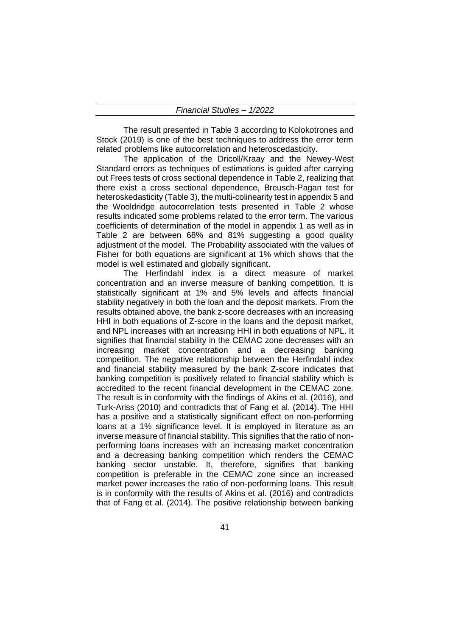The result presented in Table 3 according to Kolokotrones and Stock (2019) is one of the best techniques to address the error term related problems like autocorrelation and heteroscedasticity.

The application of the Dricoll/Kraay and the Newey-West Standard errors as techniques of estimations is guided after carrying out Frees tests of cross sectional dependence in Table 2, realizing that there exist a cross sectional dependence, Breusch-Pagan test for heteroskedasticity (Table 3), the multi-colinearity test in appendix 5 and the Wooldridge autocorrelation tests presented in Table 2 whose results indicated some problems related to the error term. The various coefficients of determination of the model in appendix 1 as well as in Table 2 are between 68% and 81% suggesting a good quality adjustment of the model. The Probability associated with the values of Fisher for both equations are significant at 1% which shows that the model is well estimated and globally significant.

The Herfindahl index is a direct measure of market concentration and an inverse measure of banking competition. It is statistically significant at 1% and 5% levels and affects financial stability negatively in both the loan and the deposit markets. From the results obtained above, the bank z-score decreases with an increasing HHI in both equations of Z-score in the loans and the deposit market, and NPL increases with an increasing HHI in both equations of NPL. It signifies that financial stability in the CEMAC zone decreases with an increasing market concentration and a decreasing banking competition. The negative relationship between the Herfindahl index and financial stability measured by the bank Z-score indicates that banking competition is positively related to financial stability which is accredited to the recent financial development in the CEMAC zone. The result is in conformity with the findings of Akins et al. (2016), and Turk-Ariss (2010) and contradicts that of Fang et al. (2014). The HHI has a positive and a statistically significant effect on non-performing loans at a 1% significance level. It is employed in literature as an inverse measure of financial stability. This signifies that the ratio of nonperforming loans increases with an increasing market concentration and a decreasing banking competition which renders the CEMAC banking sector unstable. It, therefore, signifies that banking competition is preferable in the CEMAC zone since an increased market power increases the ratio of non-performing loans. This result is in conformity with the results of Akins et al. (2016) and contradicts that of Fang et al. (2014). The positive relationship between banking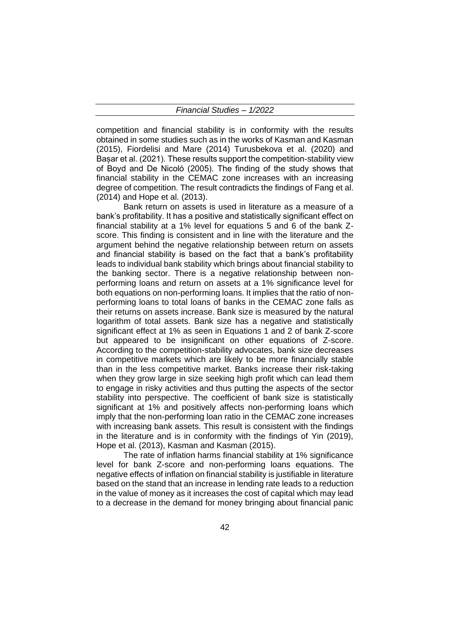competition and financial stability is in conformity with the results obtained in some studies such as in the works of Kasman and Kasman (2015), Fiordelisi and Mare (2014) Turusbekova et al. (2020) and Bașar et al. (2021). These results support the competition-stability view of Boyd and De Nicoló (2005). The finding of the study shows that financial stability in the CEMAC zone increases with an increasing degree of competition. The result contradicts the findings of Fang et al. (2014) and Hope et al. (2013).

Bank return on assets is used in literature as a measure of a bank's profitability. It has a positive and statistically significant effect on financial stability at a 1% level for equations 5 and 6 of the bank Zscore. This finding is consistent and in line with the literature and the argument behind the negative relationship between return on assets and financial stability is based on the fact that a bank's profitability leads to individual bank stability which brings about financial stability to the banking sector. There is a negative relationship between nonperforming loans and return on assets at a 1% significance level for both equations on non-performing loans. It implies that the ratio of nonperforming loans to total loans of banks in the CEMAC zone falls as their returns on assets increase. Bank size is measured by the natural logarithm of total assets. Bank size has a negative and statistically significant effect at 1% as seen in Equations 1 and 2 of bank Z-score but appeared to be insignificant on other equations of Z-score. According to the competition-stability advocates, bank size decreases in competitive markets which are likely to be more financially stable than in the less competitive market. Banks increase their risk-taking when they grow large in size seeking high profit which can lead them to engage in risky activities and thus putting the aspects of the sector stability into perspective. The coefficient of bank size is statistically significant at 1% and positively affects non-performing loans which imply that the non-performing loan ratio in the CEMAC zone increases with increasing bank assets. This result is consistent with the findings in the literature and is in conformity with the findings of Yin (2019), Hope et al. (2013), Kasman and Kasman (2015).

The rate of inflation harms financial stability at 1% significance level for bank Z-score and non-performing loans equations. The negative effects of inflation on financial stability is justifiable in literature based on the stand that an increase in lending rate leads to a reduction in the value of money as it increases the cost of capital which may lead to a decrease in the demand for money bringing about financial panic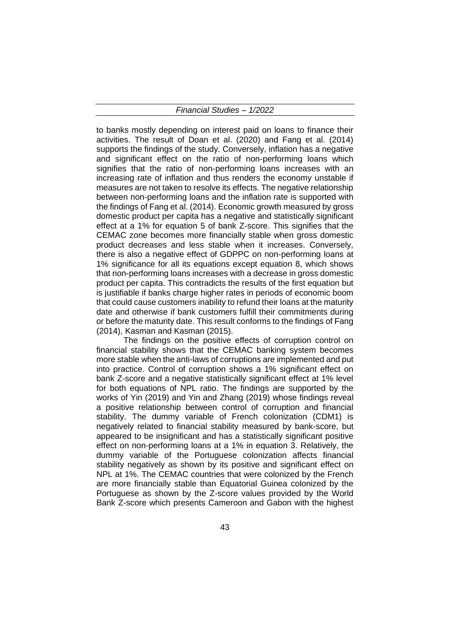to banks mostly depending on interest paid on loans to finance their activities. The result of Doan et al. (2020) and Fang et al. (2014) supports the findings of the study. Conversely, inflation has a negative and significant effect on the ratio of non-performing loans which signifies that the ratio of non-performing loans increases with an increasing rate of inflation and thus renders the economy unstable if measures are not taken to resolve its effects. The negative relationship between non-performing loans and the inflation rate is supported with the findings of Fang et al. (2014). Economic growth measured by gross domestic product per capita has a negative and statistically significant effect at a 1% for equation 5 of bank Z-score. This signifies that the CEMAC zone becomes more financially stable when gross domestic product decreases and less stable when it increases. Conversely, there is also a negative effect of GDPPC on non-performing loans at 1% significance for all its equations except equation 8, which shows that non-performing loans increases with a decrease in gross domestic product per capita. This contradicts the results of the first equation but is justifiable if banks charge higher rates in periods of economic boom that could cause customers inability to refund their loans at the maturity date and otherwise if bank customers fulfill their commitments during or before the maturity date. This result conforms to the findings of Fang (2014), Kasman and Kasman (2015).

The findings on the positive effects of corruption control on financial stability shows that the CEMAC banking system becomes more stable when the anti-laws of corruptions are implemented and put into practice. Control of corruption shows a 1% significant effect on bank Z-score and a negative statistically significant effect at 1% level for both equations of NPL ratio. The findings are supported by the works of Yin (2019) and Yin and Zhang (2019) whose findings reveal a positive relationship between control of corruption and financial stability. The dummy variable of French colonization (CDM1) is negatively related to financial stability measured by bank-score, but appeared to be insignificant and has a statistically significant positive effect on non-performing loans at a 1% in equation 3. Relatively, the dummy variable of the Portuguese colonization affects financial stability negatively as shown by its positive and significant effect on NPL at 1%. The CEMAC countries that were colonized by the French are more financially stable than Equatorial Guinea colonized by the Portuguese as shown by the Z-score values provided by the World Bank Z-score which presents Cameroon and Gabon with the highest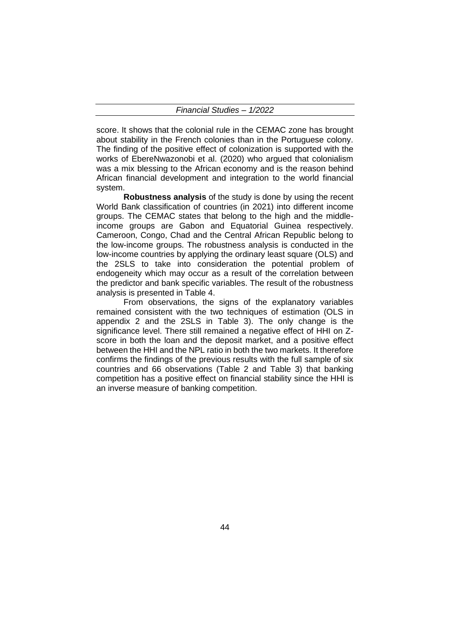score. It shows that the colonial rule in the CEMAC zone has brought about stability in the French colonies than in the Portuguese colony. The finding of the positive effect of colonization is supported with the works of EbereNwazonobi et al. (2020) who argued that colonialism was a mix blessing to the African economy and is the reason behind African financial development and integration to the world financial system.

**Robustness analysis** of the study is done by using the recent World Bank classification of countries (in 2021) into different income groups. The CEMAC states that belong to the high and the middleincome groups are Gabon and Equatorial Guinea respectively. Cameroon, Congo, Chad and the Central African Republic belong to the low-income groups. The robustness analysis is conducted in the low-income countries by applying the ordinary least square (OLS) and the 2SLS to take into consideration the potential problem of endogeneity which may occur as a result of the correlation between the predictor and bank specific variables. The result of the robustness analysis is presented in Table 4.

From observations, the signs of the explanatory variables remained consistent with the two techniques of estimation (OLS in appendix 2 and the 2SLS in Table 3). The only change is the significance level. There still remained a negative effect of HHI on Zscore in both the loan and the deposit market, and a positive effect between the HHI and the NPL ratio in both the two markets. It therefore confirms the findings of the previous results with the full sample of six countries and 66 observations (Table 2 and Table 3) that banking competition has a positive effect on financial stability since the HHI is an inverse measure of banking competition.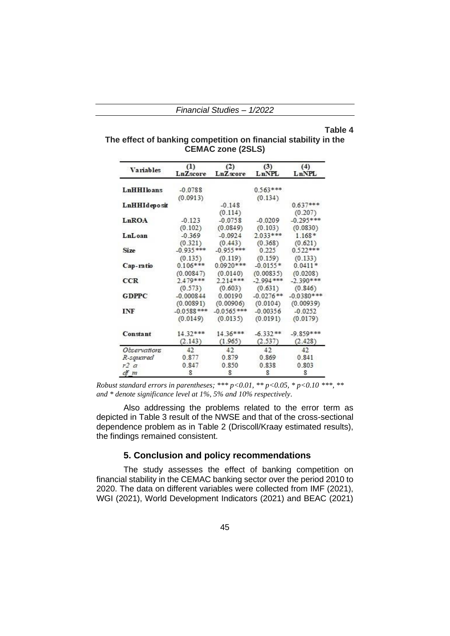#### **Table 4**

## **The effect of banking competition on financial stability in the CEMAC zone (2SLS)**

| <b>Variables</b> | (1)<br>LnZscore | (2)<br>LnZscore | (3)<br>LnNPL | (4)<br>LnNPL |
|------------------|-----------------|-----------------|--------------|--------------|
| LnHHIloans       | $-0.0788$       |                 | $0.563***$   |              |
|                  | (0.0913)        |                 | (0.134)      |              |
| LnHHIdeposit     |                 | $-0.148$        |              | $0.637***$   |
|                  |                 | (0.114)         |              | (0.207)      |
| LnROA            | $-0.123$        | $-0.0758$       | $-0.0209$    | $-0.295***$  |
|                  | (0.102)         | (0.0849)        | (0.103)      | (0.0830)     |
| LnLoan           | $-0.369$        | $-0.0924$       | $2.033***$   | $1.168*$     |
|                  | (0.321)         | (0.443)         | (0.368)      | (0.621)      |
| Size             | $-0.935***$     | $-0.955***$     | 0.225        | $0.522***$   |
|                  | (0.135)         | (0.119)         | (0.159)      | (0.133)      |
| Cap-ratio        | $0.106***$      | $0.0920***$     | $-0.0155*$   | $0.0411*$    |
|                  | (0.00847)       | (0.0140)        | (0.00835)    | (0.0208)     |
| <b>CCR</b>       | 2.479***        | $2.214***$      | $-2.994$ *** | $-2.390***$  |
|                  | (0.573)         | (0.603)         | (0.631)      | (0.846)      |
| GDPPC            | $-0.000844$     | 0.00190         | $-0.0276**$  | $-0.0380***$ |
|                  | (0.00891)       | (0.00906)       | (0.0104)     | (0.00939)    |
| INF              | $-0.0588$ ***   | $-0.0565$ ***   | $-0.00356$   | $-0.0252$    |
|                  | (0.0149)        | (0.0135)        | (0.0191)     | (0.0179)     |
| Constant         | $14.32***$      | $14.36***$      | $-6.332**$   | $-9.859***$  |
|                  | (2.143)         | (1.965)         | (2.537)      | (2.428)      |
| Observations     | 42              | 42              | 42           | 42           |
| R-squared        | 0.877           | 0.879           | 0.869        | 0.841        |
| r2 a             | 0.847           | 0.850           | 0.838        | 0.803        |
| ct m             | 8               | 8               | 8            | 8            |

*Robust standard errors in parentheses; \*\*\* p<0.01, \*\* p<0.05, \* p<0.10 \*\*\*, \*\* and \* denote significance level at 1%, 5% and 10% respectively.*

Also addressing the problems related to the error term as depicted in Table 3 result of the NWSE and that of the cross-sectional dependence problem as in Table 2 (Driscoll/Kraay estimated results), the findings remained consistent.

## **5. Conclusion and policy recommendations**

The study assesses the effect of banking competition on financial stability in the CEMAC banking sector over the period 2010 to 2020. The data on different variables were collected from IMF (2021), WGI (2021), World Development Indicators (2021) and BEAC (2021)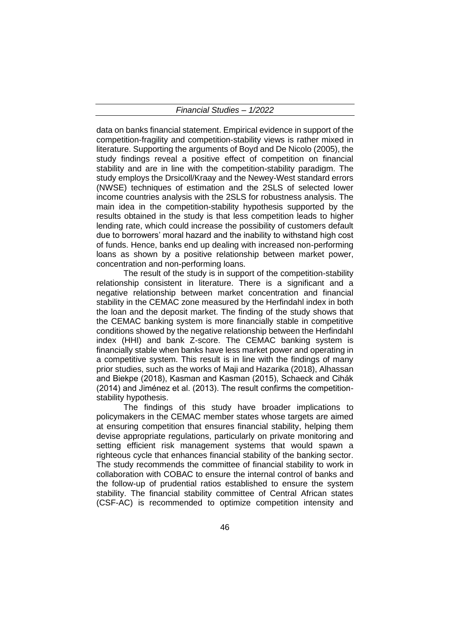data on banks financial statement. Empirical evidence in support of the competition-fragility and competition-stability views is rather mixed in literature. Supporting the arguments of Boyd and De Nicolo (2005), the study findings reveal a positive effect of competition on financial stability and are in line with the competition-stability paradigm. The study employs the Drsicoll/Kraay and the Newey-West standard errors (NWSE) techniques of estimation and the 2SLS of selected lower income countries analysis with the 2SLS for robustness analysis. The main idea in the competition-stability hypothesis supported by the results obtained in the study is that less competition leads to higher lending rate, which could increase the possibility of customers default due to borrowers' moral hazard and the inability to withstand high cost of funds. Hence, banks end up dealing with increased non-performing loans as shown by a positive relationship between market power, concentration and non-performing loans.

The result of the study is in support of the competition-stability relationship consistent in literature. There is a significant and a negative relationship between market concentration and financial stability in the CEMAC zone measured by the Herfindahl index in both the loan and the deposit market. The finding of the study shows that the CEMAC banking system is more financially stable in competitive conditions showed by the negative relationship between the Herfindahl index (HHI) and bank Z-score. The CEMAC banking system is financially stable when banks have less market power and operating in a competitive system. This result is in line with the findings of many prior studies, such as the works of Maji and Hazarika (2018), Alhassan and Biekpe (2018), Kasman and Kasman (2015), Schaeck and Cihák (2014) and Jiménez et al. (2013). The result confirms the competitionstability hypothesis.

The findings of this study have broader implications to policymakers in the CEMAC member states whose targets are aimed at ensuring competition that ensures financial stability, helping them devise appropriate regulations, particularly on private monitoring and setting efficient risk management systems that would spawn a righteous cycle that enhances financial stability of the banking sector. The study recommends the committee of financial stability to work in collaboration with COBAC to ensure the internal control of banks and the follow-up of prudential ratios established to ensure the system stability. The financial stability committee of Central African states (CSF-AC) is recommended to optimize competition intensity and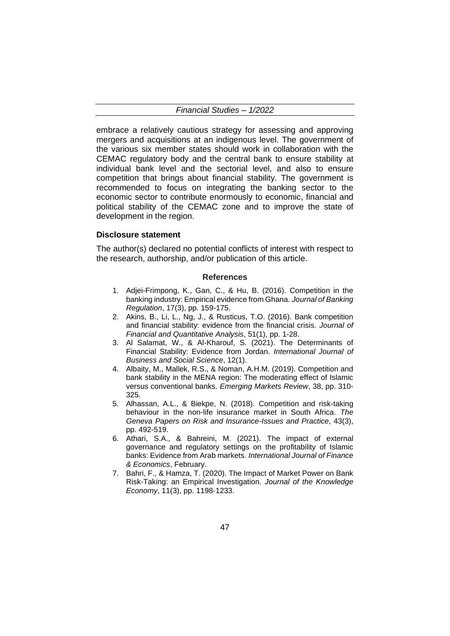embrace a relatively cautious strategy for assessing and approving mergers and acquisitions at an indigenous level. The government of the various six member states should work in collaboration with the CEMAC regulatory body and the central bank to ensure stability at individual bank level and the sectorial level, and also to ensure competition that brings about financial stability. The government is recommended to focus on integrating the banking sector to the economic sector to contribute enormously to economic, financial and political stability of the CEMAC zone and to improve the state of development in the region.

## **Disclosure statement**

The author(s) declared no potential conflicts of interest with respect to the research, authorship, and/or publication of this article.

#### **References**

- 1. Adjei-Frimpong, K., Gan, C., & Hu, B. (2016). Competition in the banking industry: Empirical evidence from Ghana. *Journal of Banking Regulation*, 17(3), pp. 159-175.
- 2. Akins, B., Li, L., Ng, J., & Rusticus, T.O. (2016). Bank competition and financial stability: evidence from the financial crisis. *Journal of Financial and Quantitative Analysis*, 51(1), pp. 1-28.
- 3. Al Salamat, W., & Al-Kharouf, S. (2021). The Determinants of Financial Stability: Evidence from Jordan. *International Journal of Business and Social Science*, 12(1).
- 4. Albaity, M., Mallek, R.S., & Noman, A.H.M. (2019). Competition and bank stability in the MENA region: The moderating effect of Islamic versus conventional banks. *Emerging Markets Review*, 38, pp. 310- 325.
- 5. Alhassan, A.L., & Biekpe, N. (2018). Competition and risk-taking behaviour in the non-life insurance market in South Africa. *The Geneva Papers on Risk and Insurance-Issues and Practice*, 43(3), pp. 492-519.
- 6. Athari, S.A., & Bahreini, M. (2021). The impact of external governance and regulatory settings on the profitability of Islamic banks: Evidence from Arab markets. *International Journal of Finance & Economics*, February.
- 7. Bahri, F., & Hamza, T. (2020). The Impact of Market Power on Bank Risk-Taking: an Empirical Investigation. *Journal of the Knowledge Economy*, 11(3), pp. 1198-1233.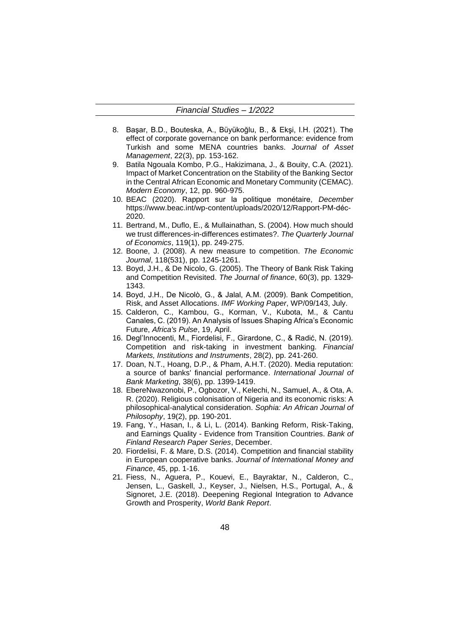- 8. Başar, B.D., Bouteska, A., Büyükoğlu, B., & Ekşi, I.H. (2021). The effect of corporate governance on bank performance: evidence from Turkish and some MENA countries banks. *Journal of Asset Management*, 22(3), pp. 153-162.
- 9. Batila Ngouala Kombo, P.G., Hakizimana, J., & Bouity, C.A. (2021). Impact of Market Concentration on the Stability of the Banking Sector in the Central African Economic and Monetary Community (CEMAC). *Modern Economy*, 12, pp. 960-975.
- 10. BEAC (2020). Rapport sur la politique monétaire, *December* https://www.beac.int/wp-content/uploads/2020/12/Rapport-PM-déc-2020.
- 11. Bertrand, M., Duflo, E., & Mullainathan, S. (2004). How much should we trust differences-in-differences estimates?. *The Quarterly Journal of Economics*, 119(1), pp. 249-275.
- 12. Boone, J. (2008). A new measure to competition. *The Economic Journal*, 118(531), pp. 1245-1261.
- 13. Boyd, J.H., & De Nicolo, G. (2005). The Theory of Bank Risk Taking and Competition Revisited. *The Journal of finance*, 60(3), pp. 1329- 1343.
- 14. Boyd, J.H., De Nicolò, G., & Jalal, A.M. (2009). Bank Competition, Risk, and Asset Allocations. *IMF Working Paper*, WP/09/143, July.
- 15. Calderon, C., Kambou, G., Korman, V., Kubota, M., & Cantu Canales, C. (2019). An Analysis of Issues Shaping Africa's Economic Future, *Africa's Pulse*, 19, April.
- 16. Degl'Innocenti, M., Fiordelisi, F., Girardone, C., & Radić, N. (2019). Competition and risk-taking in investment banking. *Financial Markets, Institutions and Instruments*, 28(2), pp. 241-260.
- 17. Doan, N.T., Hoang, D.P., & Pham, A.H.T. (2020). Media reputation: a source of banks' financial performance. *International Journal of Bank Marketing*, 38(6), pp. 1399-1419.
- 18. EbereNwazonobi, P., Ogbozor, V., Kelechi, N., Samuel, A., & Ota, A. R. (2020). Religious colonisation of Nigeria and its economic risks: A philosophical-analytical consideration. *Sophia: An African Journal of Philosophy*, 19(2), pp. 190-201.
- 19. Fang, Y., Hasan, I., & Li, L. (2014). Banking Reform, Risk-Taking, and Earnings Quality - Evidence from Transition Countries. *Bank of Finland Research Paper Series*, December.
- 20. Fiordelisi, F. & Mare, D.S. (2014). Competition and financial stability in European cooperative banks. *Journal of International Money and Finance*, 45, pp. 1-16.
- 21. Fiess, N., Aguera, P., Kouevi, E., Bayraktar, N., Calderon, C., Jensen, L., Gaskell, J., Keyser, J., Nielsen, H.S., Portugal, A., & Signoret, J.E. (2018). Deepening Regional Integration to Advance Growth and Prosperity, *World Bank Report*.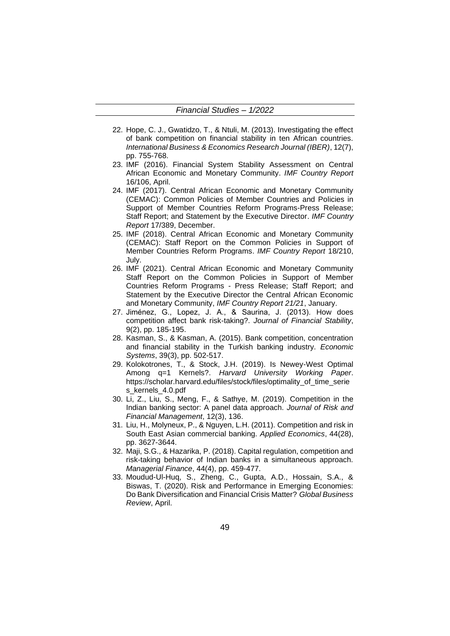- 22. Hope, C. J., Gwatidzo, T., & Ntuli, M. (2013). Investigating the effect of bank competition on financial stability in ten African countries. *International Business & Economics Research Journal (IBER)*, 12(7), pp. 755-768.
- 23. IMF (2016). Financial System Stability Assessment on Central African Economic and Monetary Community. *IMF Country Report* 16/106, April.
- 24. IMF (2017). Central African Economic and Monetary Community (CEMAC): Common Policies of Member Countries and Policies in Support of Member Countries Reform Programs-Press Release; Staff Report; and Statement by the Executive Director. *IMF Country Report* 17/389, December.
- 25. IMF (2018). Central African Economic and Monetary Community (CEMAC): Staff Report on the Common Policies in Support of Member Countries Reform Programs. *IMF Country Report* 18/210, July.
- 26. IMF (2021). Central African Economic and Monetary Community Staff Report on the Common Policies in Support of Member Countries Reform Programs - Press Release; Staff Report; and Statement by the Executive Director the Central African Economic and Monetary Community, *IMF Country Report 21/21*, January.
- 27. Jiménez, G., Lopez, J. A., & Saurina, J. (2013). How does competition affect bank risk-taking?. *Journal of Financial Stability*, 9(2), pp. 185-195.
- 28. Kasman, S., & Kasman, A. (2015). Bank competition, concentration and financial stability in the Turkish banking industry. *Economic Systems*, 39(3), pp. 502-517.
- 29. Kolokotrones, T., & Stock, J.H. (2019). Is Newey-West Optimal Among q=1 Kernels?. *Harvard University Working Paper*. https://scholar.harvard.edu/files/stock/files/optimality\_of\_time\_serie s\_kernels\_4.0.pdf
- 30. Li, Z., Liu, S., Meng, F., & Sathye, M. (2019). Competition in the Indian banking sector: A panel data approach. *Journal of Risk and Financial Management*, 12(3), 136.
- 31. Liu, H., Molyneux, P., & Nguyen, L.H. (2011). Competition and risk in South East Asian commercial banking. *Applied Economics*, 44(28), pp. 3627-3644.
- 32. Maji, S.G., & Hazarika, P. (2018). Capital regulation, competition and risk-taking behavior of Indian banks in a simultaneous approach. *Managerial Finance*, 44(4), pp. 459-477.
- 33. Moudud-Ul-Huq, S., Zheng, C., Gupta, A.D., Hossain, S.A., & Biswas, T. (2020). Risk and Performance in Emerging Economies: Do Bank Diversification and Financial Crisis Matter? *Global Business Review*, April.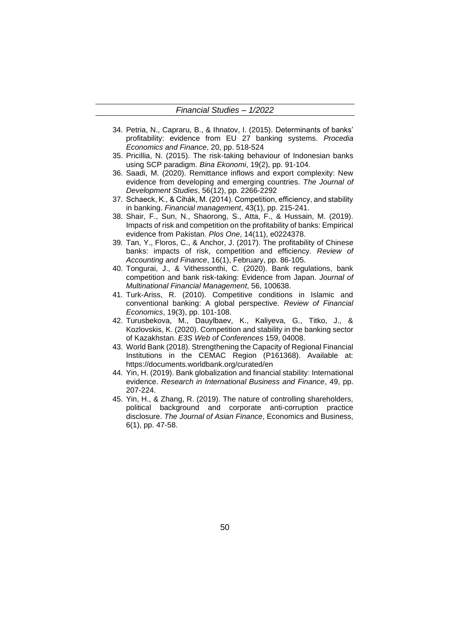- 34. Petria, N., Capraru, B., & Ihnatov, I. (2015). Determinants of banks' profitability: evidence from EU 27 banking systems. *Procedia Economics and Finance*, 20, pp. 518-524
- 35. Pricillia, N. (2015). The risk-taking behaviour of Indonesian banks using SCP paradigm. *Bina Ekonomi*, 19(2), pp. 91-104.
- 36. Saadi, M. (2020). Remittance inflows and export complexity: New evidence from developing and emerging countries. *The Journal of Development Studies*, 56(12), pp. 2266-2292
- 37. Schaeck, K., & Cihák, M. (2014). Competition, efficiency, and stability in banking. *Financial management*, 43(1), pp. 215-241.
- 38. Shair, F., Sun, N., Shaorong, S., Atta, F., & Hussain, M. (2019). Impacts of risk and competition on the profitability of banks: Empirical evidence from Pakistan. *Plos One*, 14(11), e0224378.
- 39. Tan, Y., Floros, C., & Anchor, J. (2017). The profitability of Chinese banks: impacts of risk, competition and efficiency. *Review of Accounting and Finance*, 16(1), February, pp. 86-105.
- 40. Tongurai, J., & Vithessonthi, C. (2020). Bank regulations, bank competition and bank risk-taking: Evidence from Japan. *Journal of Multinational Financial Management*, 56, 100638.
- 41. Turk-Ariss, R. (2010). Competitive conditions in Islamic and conventional banking: A global perspective. *Review of Financial Economics*, 19(3), pp. 101-108.
- 42. Turusbekova, M., Dauylbaev, K., Kaliyeva, G., Titko, J., & Kozlovskis, K. (2020). Competition and stability in the banking sector of Kazakhstan. *E3S Web of Conferences* 159, 04008.
- 43. World Bank (2018). Strengthening the Capacity of Regional Financial Institutions in the CEMAC Region (P161368). Available at: https://documents.worldbank.org/curated/en
- 44. Yin, H. (2019). Bank globalization and financial stability: International evidence. *Research in International Business and Finance*, 49, pp. 207-224.
- 45. Yin, H., & Zhang, R. (2019). The nature of controlling shareholders, political background and corporate anti-corruption practice disclosure. *The Journal of Asian Finance*, Economics and Business, 6(1), pp. 47-58.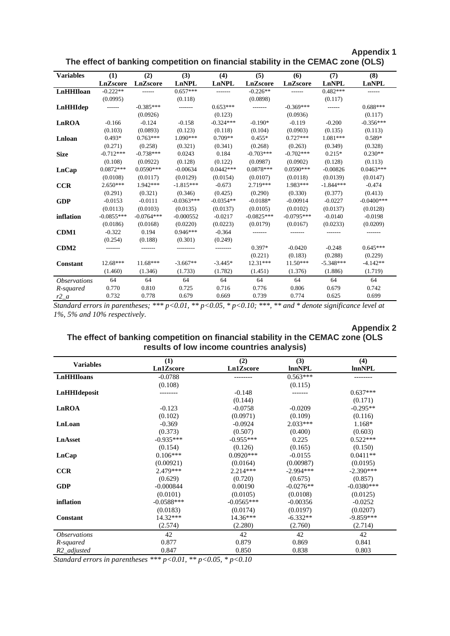|                            |                 |              |              |              |              | The effect of banking competition on financial stability in the CEMAC zone (OLS) |              |              |
|----------------------------|-----------------|--------------|--------------|--------------|--------------|----------------------------------------------------------------------------------|--------------|--------------|
| <b>Variables</b>           | (1)             | (2)          | (3)          | (4)          | (5)          | (6)                                                                              | (7)          | (8)          |
|                            | <b>LnZscore</b> | LnZscore     | LnNPL        | <b>LnNPL</b> | LnZscore     | LnZscore                                                                         | <b>LnNPL</b> | LnNPL        |
| LnHHIloan                  | $-0.222**$      |              | $0.657***$   |              | $-0.226**$   |                                                                                  | $0.482***$   | ------       |
|                            | (0.0995)        |              | (0.118)      |              | (0.0898)     |                                                                                  | (0.117)      |              |
| LnHHIdep                   | ------          | $-0.385***$  | -------      | $0.653***$   |              | $-0.369***$                                                                      | ------       | $0.688***$   |
|                            |                 | (0.0926)     |              | (0.123)      |              | (0.0936)                                                                         |              | (0.117)      |
| LnROA                      | $-0.166$        | $-0.124$     | $-0.158$     | $-0.324***$  | $-0.190*$    | $-0.119$                                                                         | $-0.200$     | $-0.356***$  |
|                            | (0.103)         | (0.0893)     | (0.123)      | (0.118)      | (0.104)      | (0.0903)                                                                         | (0.135)      | (0.113)      |
| Lnloan                     | $0.493*$        | $0.763***$   | 1.090***     | $0.709**$    | $0.455*$     | $0.727***$                                                                       | 1.081***     | 0.589*       |
|                            | (0.271)         | (0.258)      | (0.321)      | (0.341)      | (0.268)      | (0.263)                                                                          | (0.349)      | (0.328)      |
| <b>Size</b>                | $-0.712***$     | $-0.738***$  | 0.0243       | 0.184        | $-0.703***$  | $-0.702***$                                                                      | $0.215*$     | $0.230**$    |
|                            | (0.108)         | (0.0922)     | (0.128)      | (0.122)      | (0.0987)     | (0.0902)                                                                         | (0.128)      | (0.113)      |
| LnCap                      | $0.0872***$     | $0.0590***$  | $-0.00634$   | $0.0442***$  | $0.0878***$  | $0.0590***$                                                                      | $-0.00826$   | $0.0463***$  |
|                            | (0.0108)        | (0.0117)     | (0.0129)     | (0.0154)     | (0.0107)     | (0.0118)                                                                         | (0.0139)     | (0.0147)     |
| <b>CCR</b>                 | $2.650***$      | 1.942 ***    | $-1.815***$  | $-0.673$     | 2.719***     | 1.983***                                                                         | $-1.844***$  | $-0.474$     |
|                            | (0.291)         | (0.321)      | (0.346)      | (0.425)      | (0.290)      | (0.330)                                                                          | (0.377)      | (0.413)      |
| <b>GDP</b>                 | $-0.0153$       | $-0.0111$    | $-0.0363***$ | $-0.0354**$  | $-0.0188*$   | $-0.00914$                                                                       | $-0.0227$    | $-0.0400***$ |
|                            | (0.0113)        | (0.0103)     | (0.0135)     | (0.0137)     | (0.0105)     | (0.0102)                                                                         | (0.0137)     | (0.0128)     |
| inflation                  | $-0.0855***$    | $-0.0764***$ | $-0.000552$  | $-0.0217$    | $-0.0825***$ | $-0.0795***$                                                                     | $-0.0140$    | $-0.0198$    |
|                            | (0.0186)        | (0.0168)     | (0.0220)     | (0.0223)     | (0.0179)     | (0.0167)                                                                         | (0.0233)     | (0.0209)     |
| <b>CDM1</b>                | $-0.322$        | 0.194        | $0.946***$   | $-0.364$     |              |                                                                                  |              | -------      |
|                            | (0.254)         | (0.188)      | (0.301)      | (0.249)      |              |                                                                                  |              |              |
| CDM <sub>2</sub>           |                 |              |              |              | $0.397*$     | $-0.0420$                                                                        | $-0.248$     | $0.645***$   |
|                            |                 |              |              |              | (0.221)      | (0.183)                                                                          | (0.288)      | (0.229)      |
| <b>Constant</b>            | $12.68***$      | $11.68***$   | $-3.667**$   | $-3.445*$    | 12.31***     | 11.50***                                                                         | $-5.348***$  | $-4.142**$   |
|                            | (1.460)         | (1.346)      | (1.733)      | (1.782)      | (1.451)      | (1.376)                                                                          | (1.886)      | (1.719)      |
| <i><b>Observations</b></i> | 64              | 64           | 64           | 64           | 64           | 64                                                                               | 64           | 64           |
| R-squared                  | 0.770           | 0.810        | 0.725        | 0.716        | 0.776        | 0.806                                                                            | 0.679        | 0.742        |
| $r2_a$                     | 0.732           | 0.778        | 0.679        | 0.669        | 0.739        | 0.774                                                                            | 0.625        | 0.699        |

**Appendix 1**

*Standard errors in parentheses; \*\*\* p<0.01, \*\* p<0.05, \* p<0.10; \*\*\*, \*\* and \* denote significance level at 1%, 5% and 10% respectively.*

## **Appendix 2 The effect of banking competition on financial stability in the CEMAC zone (OLS results of low income countries analysis)**

|                            | (1)          | (2)          | (3)           | (4)           |
|----------------------------|--------------|--------------|---------------|---------------|
| <b>Variables</b>           | Ln1Zscore    | Ln1Zscore    | <b>InnNPL</b> | <b>lnnNPL</b> |
| <b>LnHHIloans</b>          | $-0.0788$    |              | $0.563***$    |               |
|                            | (0.108)      |              | (0.115)       |               |
| LnHHIdeposit               |              | $-0.148$     |               | $0.637***$    |
|                            |              | (0.144)      |               | (0.171)       |
| LnROA                      | $-0.123$     | $-0.0758$    | $-0.0209$     | $-0.295**$    |
|                            | (0.102)      | (0.0971)     | (0.109)       | (0.116)       |
| LnLoan                     | $-0.369$     | $-0.0924$    | $2.033***$    | $1.168*$      |
|                            | (0.373)      | (0.507)      | (0.400)       | (0.603)       |
| LnAsset                    | $-0.935***$  | $-0.955***$  | 0.225         | $0.522***$    |
|                            | (0.154)      | (0.126)      | (0.165)       | (0.150)       |
| LnCap                      | $0.106***$   | $0.0920***$  | $-0.0155$     | $0.0411**$    |
|                            | (0.00921)    | (0.0164)     | (0.00987)     | (0.0195)      |
| <b>CCR</b>                 | 2.479***     | $2.214***$   | $-2.994***$   | $-2.390***$   |
|                            | (0.629)      | (0.720)      | (0.675)       | (0.857)       |
| <b>GDP</b>                 | $-0.000844$  | 0.00190      | $-0.0276**$   | $-0.0380***$  |
|                            | (0.0101)     | (0.0105)     | (0.0108)      | (0.0125)      |
| inflation                  | $-0.0588***$ | $-0.0565***$ | $-0.00356$    | $-0.0252$     |
|                            | (0.0183)     | (0.0174)     | (0.0197)      | (0.0207)      |
| <b>Constant</b>            | $14.32***$   | $14.36***$   | $-6.332**$    | $-9.859***$   |
|                            | (2.574)      | (2.280)      | (2.760)       | (2.714)       |
| <i><b>Observations</b></i> | 42           | 42           | 42            | 42            |
| R-squared                  | 0.877        | 0.879        | 0.869         | 0.841         |
| R <sub>2_adjusted</sub>    | 0.847        | 0.850        | 0.838         | 0.803         |

*Standard errors in parentheses \*\*\* p<0.01, \*\* p<0.05, \* p<0.10*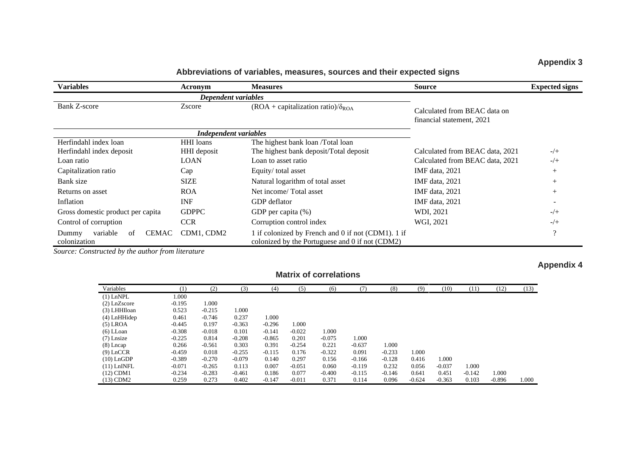## **Appendix 3**

**Abbreviations of variables, measures, sources and their expected signs**

| <b>Variables</b>                                        | Acronym                      | <b>Measures</b>                                                                                       | <b>Source</b>                                             |          |
|---------------------------------------------------------|------------------------------|-------------------------------------------------------------------------------------------------------|-----------------------------------------------------------|----------|
|                                                         | Dependent variables          |                                                                                                       |                                                           |          |
| Bank Z-score                                            | Zscore                       | $(ROA + capitalization ratio)/\delta_{ROA}$                                                           | Calculated from BEAC data on<br>financial statement, 2021 |          |
|                                                         | <b>Independent variables</b> |                                                                                                       |                                                           |          |
| Herfindahl index loan                                   | <b>HHI</b> loans             | The highest bank loan /Total loan                                                                     |                                                           |          |
| Herfindahl index deposit                                | HHI deposit                  | The highest bank deposit/Total deposit                                                                | Calculated from BEAC data, 2021                           | $-/+$    |
| Loan ratio                                              | <b>LOAN</b>                  | Loan to asset ratio                                                                                   | Calculated from BEAC data, 2021                           | $-/+$    |
| Capitalization ratio                                    | Cap                          | Equity/total asset                                                                                    | IMF data, 2021                                            | $^{+}$   |
| Bank size                                               | <b>SIZE</b>                  | Natural logarithm of total asset                                                                      | IMF data, 2021                                            |          |
| Returns on asset                                        | <b>ROA</b>                   | Net income/Total asset                                                                                | IMF data, 2021                                            | $^{+}$   |
| Inflation                                               | <b>INF</b>                   | GDP deflator                                                                                          | IMF data, 2021                                            |          |
| Gross domestic product per capita                       | <b>GDPPC</b>                 | GDP per capita (%)                                                                                    | WDI, 2021                                                 | $-/-$    |
| Control of corruption                                   | <b>CCR</b>                   | Corruption control index                                                                              | WGI, 2021                                                 | $-/-$    |
| <b>CEMAC</b><br>variable<br>Dummy<br>of<br>colonization | CDM1, CDM2                   | 1 if colonized by French and 0 if not (CDM1). 1 if<br>colonized by the Portuguese and 0 if not (CDM2) |                                                           | $\Omega$ |

*Source: Constructed by the author from literature*

## **Appendix 4**

| Variables      | (1)      | (2)      | (3)      | (4)      | (5)      | (6)      | (7)      | (8)      | (9)      | (10)     | (11)     | (12)     | (13)  |
|----------------|----------|----------|----------|----------|----------|----------|----------|----------|----------|----------|----------|----------|-------|
| $(1)$ LnNPL    | 1.000    |          |          |          |          |          |          |          |          |          |          |          |       |
| $(2)$ LnZscore | $-0.195$ | 1.000    |          |          |          |          |          |          |          |          |          |          |       |
| (3) LHHIloan   | 0.523    | $-0.215$ | 1.000    |          |          |          |          |          |          |          |          |          |       |
| $(4)$ LnHHidep | 0.461    | $-0.746$ | 0.237    | 1.000    |          |          |          |          |          |          |          |          |       |
| $(5)$ LROA     | $-0.445$ | 0.197    | $-0.363$ | $-0.296$ | 1.000    |          |          |          |          |          |          |          |       |
| $(6)$ LLoan    | $-0.308$ | $-0.018$ | 0.101    | $-0.141$ | $-0.022$ | 1.000    |          |          |          |          |          |          |       |
| $(7)$ Lnsize   | $-0.225$ | 0.814    | $-0.208$ | $-0.865$ | 0.201    | $-0.075$ | 1.000    |          |          |          |          |          |       |
| $(8)$ Lncap    | 0.266    | $-0.561$ | 0.303    | 0.391    | $-0.254$ | 0.221    | $-0.637$ | 1.000    |          |          |          |          |       |
| $(9)$ LnCCR    | $-0.459$ | 0.018    | $-0.255$ | $-0.115$ | 0.176    | $-0.322$ | 0.091    | $-0.233$ | 1.000    |          |          |          |       |
| $(10)$ LnGDP   | $-0.389$ | $-0.270$ | $-0.079$ | 0.140    | 0.297    | 0.156    | $-0.166$ | $-0.128$ | 0.416    | 1.000    |          |          |       |
| $(11)$ LnINFL  | $-0.071$ | $-0.265$ | 0.113    | 0.007    | $-0.051$ | 0.060    | $-0.119$ | 0.232    | 0.056    | $-0.037$ | 1.000    |          |       |
| $(12)$ CDM1    | $-0.234$ | $-0.283$ | $-0.461$ | 0.186    | 0.077    | $-0.400$ | $-0.115$ | $-0.146$ | 0.641    | 0.451    | $-0.142$ | 1.000    |       |
| $(13)$ CDM2    | 0.259    | 0.273    | 0.402    | $-0.147$ | $-0.011$ | 0.371    | 0.114    | 0.096    | $-0.624$ | $-0.363$ | 0.103    | $-0.896$ | 1.000 |

**Matrix of correlations**